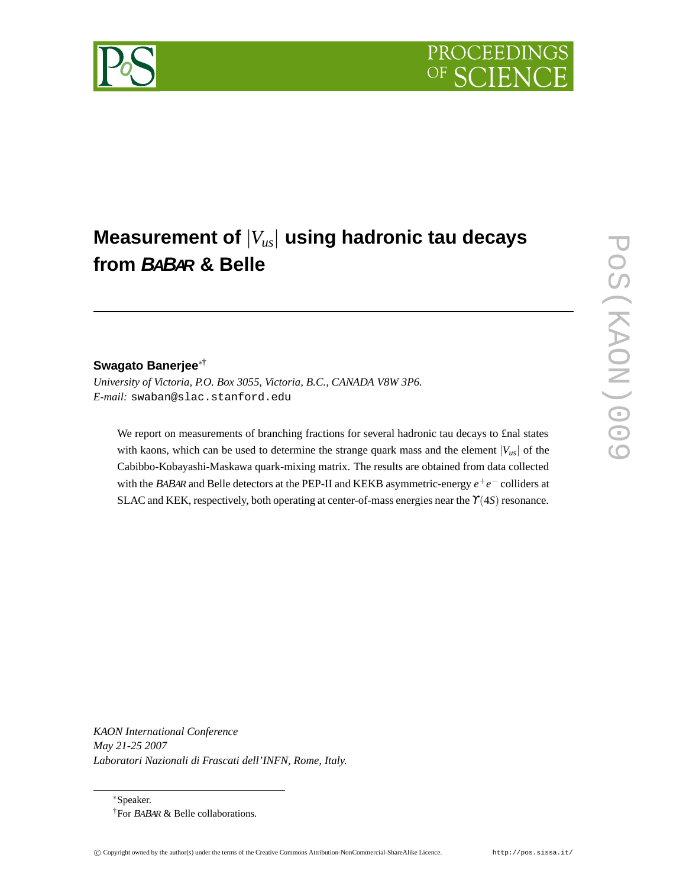# **Measurement of** |*Vus*| **using hadronic tau decays from BABAR & Belle**

# **Swagato Banerjee**∗†

*University of Victoria, P.O. Box 3055, Victoria, B.C., CANADA V8W 3P6. E-mail:* swaban@slac.stanford.edu

We report on measurements of branching fractions for several hadronic tau decays to £nal states with kaons, which can be used to determine the strange quark mass and the element  $|V_{\mu s}|$  of the Cabibbo-Kobayashi-Maskawa quark-mixing matrix. The results are obtained from data collected with the BABAR and Belle detectors at the PEP-II and KEKB asymmetric-energy  $e^+e^-$  colliders at SLAC and KEK, respectively, both operating at center-of-mass energies near the  $Y(4S)$  resonance.

*KAON International Conference May 21-25 2007 Laboratori Nazionali di Frascati dell'INFN, Rome, Italy.*

∗Speaker. †For <sup>B</sup>ABAR & Belle collaborations.

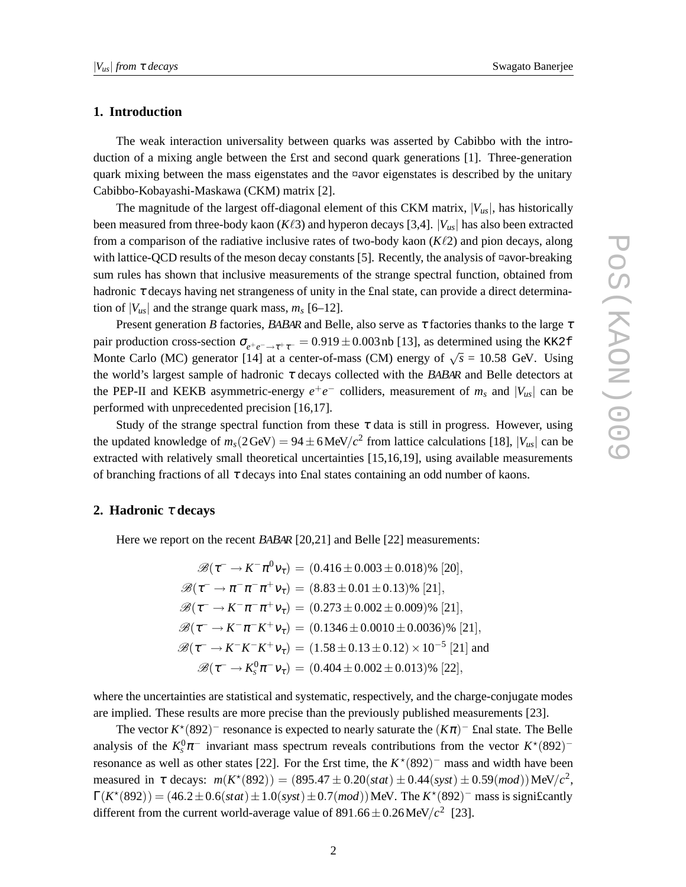## **1. Introduction**

The weak interaction universality between quarks was asserted by Cabibbo with the introduction of a mixing angle between the £rst and second quark generations [1]. Three-generation quark mixing between the mass eigenstates and the ¤avor eigenstates is described by the unitary Cabibbo-Kobayashi-Maskawa (CKM) matrix [2].

The magnitude of the largest off-diagonal element of this CKM matrix,  $|V_{us}|$ , has historically been measured from three-body kaon ( $K\ell 3$ ) and hyperon decays [3,4].  $|V_{us}|$  has also been extracted from a comparison of the radiative inclusive rates of two-body kaon  $(K\ell)$  and pion decays, along with lattice-QCD results of the meson decay constants [5]. Recently, the analysis of  $\alpha$ avor-breaking sum rules has shown that inclusive measurements of the strange spectral function, obtained from hadronic  $\tau$  decays having net strangeness of unity in the final state, can provide a direct determination of  $|V_{us}|$  and the strange quark mass,  $m_s$  [6–12].

Present generation *B* factories, BABAR and Belle, also serve as  $\tau$  factories thanks to the large  $\tau$ pair production cross-section  $\sigma_{e^+e^- \to \tau^+\tau^-}$  = 0.919 ± 0.003 nb [13], as determined using the KK2f Monte Carlo (MC) generator [14] at a center-of-mass (CM) energy of  $\sqrt{s} = 10.58$  GeV. Using the world's largest sample of hadronic  $\tau$  decays collected with the BABAR and Belle detectors at the PEP-II and KEKB asymmetric-energy  $e^+e^-$  colliders, measurement of  $m_s$  and  $|V_{us}|$  can be performed with unprecedented precision [16,17].

Study of the strange spectral function from these  $\tau$  data is still in progress. However, using the updated knowledge of  $m_s(2 \text{ GeV}) = 94 \pm 6 \text{ MeV}/c^2$  from lattice calculations [18],  $|V_{us}|$  can be extracted with relatively small theoretical uncertainties [15,16,19], using available measurements of branching fractions of all  $\tau$  decays into final states containing an odd number of kaons.

#### **2. Hadronic** <sup>τ</sup> **decays**

Here we report on the recent <sup>B</sup>ABAR [20,21] and Belle [22] measurements:

$$
\mathcal{B}(\tau^- \to K^- \pi^0 \nu_{\tau}) = (0.416 \pm 0.003 \pm 0.018)\% [20],
$$
  
\n
$$
\mathcal{B}(\tau^- \to \pi^- \pi^- \pi^+ \nu_{\tau}) = (8.83 \pm 0.01 \pm 0.13)\% [21],
$$
  
\n
$$
\mathcal{B}(\tau^- \to K^- \pi^- \pi^+ \nu_{\tau}) = (0.273 \pm 0.002 \pm 0.009)\% [21],
$$
  
\n
$$
\mathcal{B}(\tau^- \to K^- \pi^- K^+ \nu_{\tau}) = (0.1346 \pm 0.0010 \pm 0.0036)\% [21],
$$
  
\n
$$
\mathcal{B}(\tau^- \to K^- K^- K^+ \nu_{\tau}) = (1.58 \pm 0.13 \pm 0.12) \times 10^{-5} [21] \text{ and}
$$
  
\n
$$
\mathcal{B}(\tau^- \to K_s^0 \pi^- \nu_{\tau}) = (0.404 \pm 0.002 \pm 0.013)\% [22],
$$

where the uncertainties are statistical and systematic, respectively, and the charge-conjugate modes are implied. These results are more precise than the previously published measurements [23].

The vector  $K^*(892)^-$  resonance is expected to nearly saturate the  $(K\pi)^-$  £nal state. The Belle analysis of the  $K_s^0 \pi^-$  invariant mass spectrum reveals contributions from the vector  $K^*(892)^$ resonance as well as other states [22]. For the £rst time, the  $K^*(892)^-$  mass and width have been measured in  $\tau$  decays:  $m(K^*(892)) = (895.47 \pm 0.20(stat) \pm 0.44(syst) \pm 0.59(mod)) \text{MeV}/c^2$ ,  $\Gamma(K^*(892)) = (46.2 \pm 0.6(stat) \pm 1.0(syst) \pm 0.7(mod))$  MeV. The  $K^*(892)^-$  mass is significantly different from the current world-average value of  $891.66 \pm 0.26 \,\text{MeV}/c^2$  [23].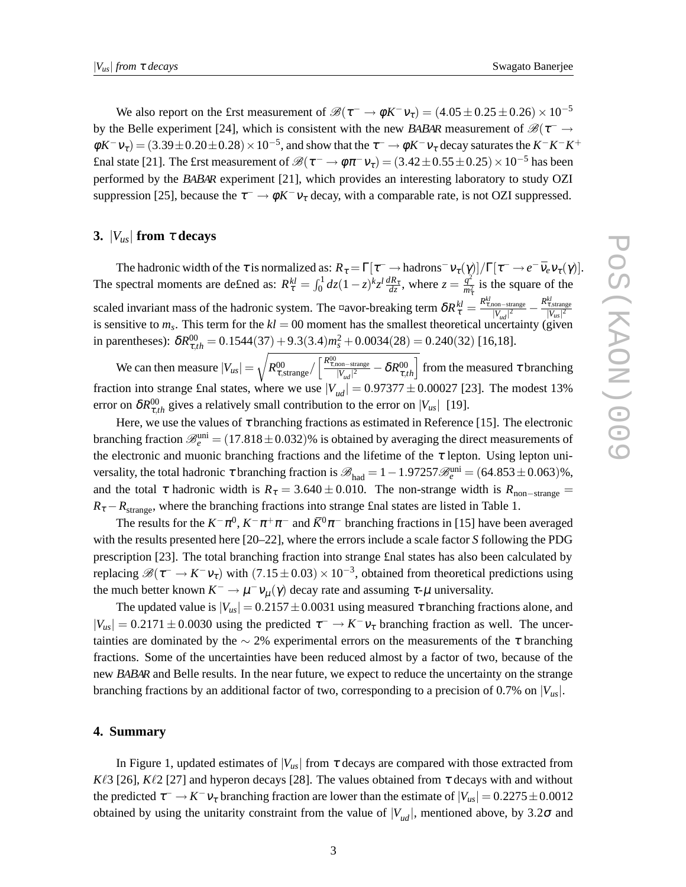We also report on the £rst measurement of  $\mathcal{B}(\tau^- \to \phi K^- v_\tau) = (4.05 \pm 0.25 \pm 0.26) \times 10^{-5}$ by the Belle experiment [24], which is consistent with the new BABAR measurement of  $\mathscr{B}(\tau^- \to$  $\phi K^- v_\tau$  = (3.39 ± 0.20 ± 0.28) × 10<sup>-5</sup>, and show that the  $\tau^- \to \phi K^- v_\tau$  decay saturates the  $K^- K^- K^+$ £nal state [21]. The £rst measurement of  $\mathscr{B}(\tau^- \to \phi \pi^- v_\tau) = (3.42 \pm 0.55 \pm 0.25) \times 10^{-5}$  has been performed by the <sup>B</sup>ABAR experiment [21], which provides an interesting laboratory to study OZI suppression [25], because the  $\tau^- \to \phi K^- \nu_\tau$  decay, with a comparable rate, is not OZI suppressed.

### **3.** |*Vus*| **from** <sup>τ</sup> **decays**

The hadronic width of the  $\tau$  is normalized as:  $R_{\tau} = \Gamma[\tau^- \to \text{hadrons}^- \nu_{\tau}(\gamma)]/\Gamma[\tau^- \to e^- \bar{\nu}_e \nu_{\tau}(\gamma)]$ . The spectral moments are defined as:  $R_{\tau}^{kl} = \int_0^1 dz (1 - z)^k z^l \frac{dR_{\tau}}{dz}$ , where  $z = \frac{q^2}{m_{\tau}^2}$  $\frac{q}{m_{\tau}^2}$  is the square of the τ scaled invariant mass of the hadronic system. The ¤avor-breaking term  $\delta R_{\tau}^{kl} = \frac{R_{\tau,\text{non-strange}}^{kl}}{|V_{ud}|^2} \frac{R_{\tau,\text{strange}}^{kl}}{|V_{us}|^2}$ is sensitive to  $m_s$ . This term for the  $kl = 00$  moment has the smallest theoretical uncertainty (given in parentheses):  $\delta R_{\tau,th}^{00} = 0.1544(37) + 9.3(3.4) m_s^2 + 0.0034(28) = 0.240(32)$  [16,18].

We can then measure  $|V_{us}| =$  $\sqrt{R_{\tau,\text{strange}}^{00}} / \left[\frac{R_{\tau,\text{non-strange}}^{00}}{|V_{ud}|^2} - \delta R_{\tau,th}^{00}\right]$  from the measured τ branching fraction into strange £nal states, where we use  $|V_{ud}| = 0.97377 \pm 0.00027$  [23]. The modest 13% error on  $\delta R_{\tau,th}^{00}$  gives a relatively small contribution to the error on  $|V_{us}|$  [19].

Here, we use the values of  $\tau$  branching fractions as estimated in Reference [15]. The electronic branching fraction  $\mathcal{B}_e^{\text{uni}} = (17.818 \pm 0.032)$ % is obtained by averaging the direct measurements of the electronic and muonic branching fractions and the lifetime of the  $\tau$  lepton. Using lepton universality, the total hadronic  $\tau$  branching fraction is  $\mathscr{B}_{had} = 1 - 1.97257 \mathscr{B}_{e}^{uni} = (64.853 \pm 0.063)\%$ , and the total  $\tau$  hadronic width is  $R_{\tau} = 3.640 \pm 0.010$ . The non-strange width is  $R_{\text{non-strange}} =$  $R_{\tau} - R_{\text{strange}}$ , where the branching fractions into strange £nal states are listed in Table 1.

The results for the  $K^-\pi^0$ ,  $K^-\pi^+\pi^-$  and  $\bar{K}^0\pi^-$  branching fractions in [15] have been averaged with the results presented here [20–22], where the errors include a scale factor *S* following the PDG prescription [23]. The total branching fraction into strange £nal states has also been calculated by replacing  $\mathscr{B}(\tau^- \to K^-v_\tau)$  with  $(7.15 \pm 0.03) \times 10^{-3}$ , obtained from theoretical predictions using the much better known  $K^- \to \mu^- \nu_\mu(\gamma)$  decay rate and assuming  $\tau$ - $\mu$  universality.

The updated value is  $|V_{us}| = 0.2157 \pm 0.0031$  using measured  $\tau$  branching fractions alone, and  $|V_{us}| = 0.2171 \pm 0.0030$  using the predicted  $\tau^- \to K^- \nu_{\tau}$  branching fraction as well. The uncertainties are dominated by the  $\sim$  2% experimental errors on the measurements of the  $\tau$  branching fractions. Some of the uncertainties have been reduced almost by a factor of two, because of the new <sup>B</sup>ABAR and Belle results. In the near future, we expect to reduce the uncertainty on the strange branching fractions by an additional factor of two, corresponding to a precision of 0.7% on |*Vus*|.

#### **4. Summary**

In Figure 1, updated estimates of  $|V_{\mu s}|$  from  $\tau$  decays are compared with those extracted from  $K\ell3$  [26],  $K\ell2$  [27] and hyperon decays [28]. The values obtained from  $\tau$  decays with and without the predicted  $\tau^- \to K^- \nu_{\tau}$  branching fraction are lower than the estimate of  $|V_{us}| = 0.2275 \pm 0.0012$ obtained by using the unitarity constraint from the value of  $|V_{ud}|$ , mentioned above, by 3.2 $\sigma$  and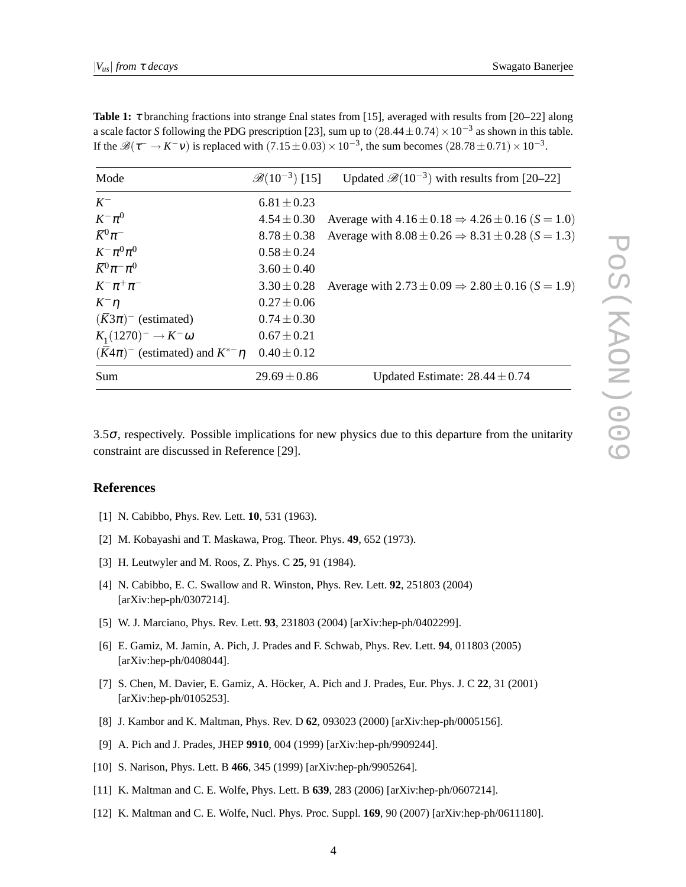| Mode                                                  | $\mathscr{B}(10^{-3})$ [15] | Updated $\mathcal{B}(10^{-3})$ with results from [20–22]         |
|-------------------------------------------------------|-----------------------------|------------------------------------------------------------------|
| $K^-$                                                 | $6.81 \pm 0.23$             |                                                                  |
| $K^-\pi^0$                                            | $4.54 \pm 0.30$             | Average with $4.16 \pm 0.18 \Rightarrow 4.26 \pm 0.16$ (S = 1.0) |
| $\bar{K}^0 \pi^-$                                     | $8.78 \pm 0.38$             | Average with $8.08 \pm 0.26 \Rightarrow 8.31 \pm 0.28$ (S = 1.3) |
| $K^-\pi^0\pi^0$                                       | $0.58 \pm 0.24$             |                                                                  |
| $\overline{K}{}^0 \pi^- \pi^0$                        | $3.60 \pm 0.40$             |                                                                  |
| $K^{-} \pi^{+} \pi^{-}$                               | $3.30 \pm 0.28$             | Average with $2.73 \pm 0.09 \Rightarrow 2.80 \pm 0.16$ (S = 1.9) |
| $K^ \eta$                                             | $0.27 \pm 0.06$             |                                                                  |
| $(\overline{K}3\pi)^-$ (estimated)                    | $0.74 \pm 0.30$             |                                                                  |
| $K_1(1270)^{-} \to K^{-} \omega$                      | $0.67 \pm 0.21$             |                                                                  |
| $(\overline{K}4\pi)^{-}$ (estimated) and $K^{*-}\eta$ | $0.40 \pm 0.12$             |                                                                  |
| Sum                                                   | $29.69 \pm 0.86$            | Updated Estimate: $28.44 \pm 0.74$                               |

**Table 1:**  $\tau$  branching fractions into strange £nal states from [15], averaged with results from [20–22] along a scale factor *S* following the PDG prescription [23], sum up to  $(28.44 \pm 0.74) \times 10^{-3}$  as shown in this table. If the  $\mathscr{B}(\tau^- \to K^-v)$  is replaced with  $(7.15 \pm 0.03) \times 10^{-3}$ , the sum becomes  $(28.78 \pm 0.71) \times 10^{-3}$ .

3.5 $\sigma$ , respectively. Possible implications for new physics due to this departure from the unitarity constraint are discussed in Reference [29].

### **References**

- [1] N. Cabibbo, Phys. Rev. Lett. **10**, 531 (1963).
- [2] M. Kobayashi and T. Maskawa, Prog. Theor. Phys. **49**, 652 (1973).
- [3] H. Leutwyler and M. Roos, Z. Phys. C **25**, 91 (1984).
- [4] N. Cabibbo, E. C. Swallow and R. Winston, Phys. Rev. Lett. **92**, 251803 (2004) [arXiv:hep-ph/0307214].
- [5] W. J. Marciano, Phys. Rev. Lett. **93**, 231803 (2004) [arXiv:hep-ph/0402299].
- [6] E. Gamiz, M. Jamin, A. Pich, J. Prades and F. Schwab, Phys. Rev. Lett. **94**, 011803 (2005) [arXiv:hep-ph/0408044].
- [7] S. Chen, M. Davier, E. Gamiz, A. Höcker, A. Pich and J. Prades, Eur. Phys. J. C **22**, 31 (2001) [arXiv:hep-ph/0105253].
- [8] J. Kambor and K. Maltman, Phys. Rev. D **62**, 093023 (2000) [arXiv:hep-ph/0005156].
- [9] A. Pich and J. Prades, JHEP **9910**, 004 (1999) [arXiv:hep-ph/9909244].
- [10] S. Narison, Phys. Lett. B **466**, 345 (1999) [arXiv:hep-ph/9905264].
- [11] K. Maltman and C. E. Wolfe, Phys. Lett. B **639**, 283 (2006) [arXiv:hep-ph/0607214].
- [12] K. Maltman and C. E. Wolfe, Nucl. Phys. Proc. Suppl. **169**, 90 (2007) [arXiv:hep-ph/0611180].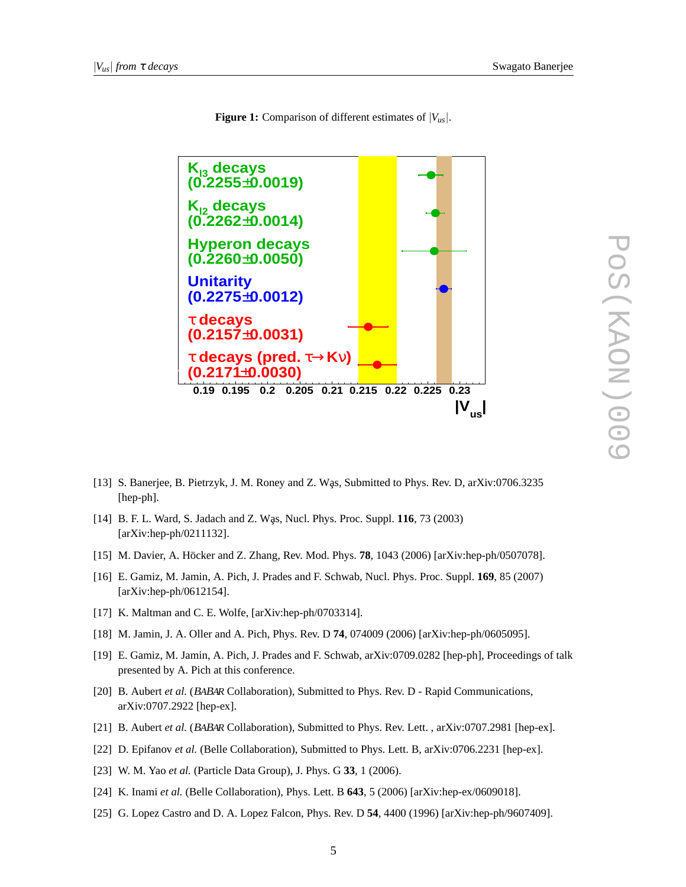

**Figure 1:** Comparison of different estimates of  $|V_{us}|$ .

- [13] S. Banerjee, B. Pietrzyk, J. M. Roney and Z. Was, Submitted to Phys. Rev. D, arXiv:0706.3235 [hep-ph].
- [14] B. F. L. Ward, S. Jadach and Z. Was, Nucl. Phys. Proc. Suppl. **116**, 73 (2003) [arXiv:hep-ph/0211132].
- [15] M. Davier, A. Höcker and Z. Zhang, Rev. Mod. Phys. **78**, 1043 (2006) [arXiv:hep-ph/0507078].
- [16] E. Gamiz, M. Jamin, A. Pich, J. Prades and F. Schwab, Nucl. Phys. Proc. Suppl. **169**, 85 (2007) [arXiv:hep-ph/0612154].
- [17] K. Maltman and C. E. Wolfe, [arXiv:hep-ph/0703314].
- [18] M. Jamin, J. A. Oller and A. Pich, Phys. Rev. D **74**, 074009 (2006) [arXiv:hep-ph/0605095].
- [19] E. Gamiz, M. Jamin, A. Pich, J. Prades and F. Schwab, arXiv:0709.0282 [hep-ph], Proceedings of talk presented by A. Pich at this conference.
- [20] B. Aubert *et al.* (<sup>B</sup>ABAR Collaboration), Submitted to Phys. Rev. D Rapid Communications, arXiv:0707.2922 [hep-ex].
- [21] B. Aubert *et al.* (<sup>B</sup>ABAR Collaboration), Submitted to Phys. Rev. Lett. , arXiv:0707.2981 [hep-ex].
- [22] D. Epifanov *et al.* (Belle Collaboration), Submitted to Phys. Lett. B, arXiv:0706.2231 [hep-ex].
- [23] W. M. Yao *et al.* (Particle Data Group), J. Phys. G **33**, 1 (2006).
- [24] K. Inami *et al.* (Belle Collaboration), Phys. Lett. B **643**, 5 (2006) [arXiv:hep-ex/0609018].
- [25] G. Lopez Castro and D. A. Lopez Falcon, Phys. Rev. D **54**, 4400 (1996) [arXiv:hep-ph/9607409].